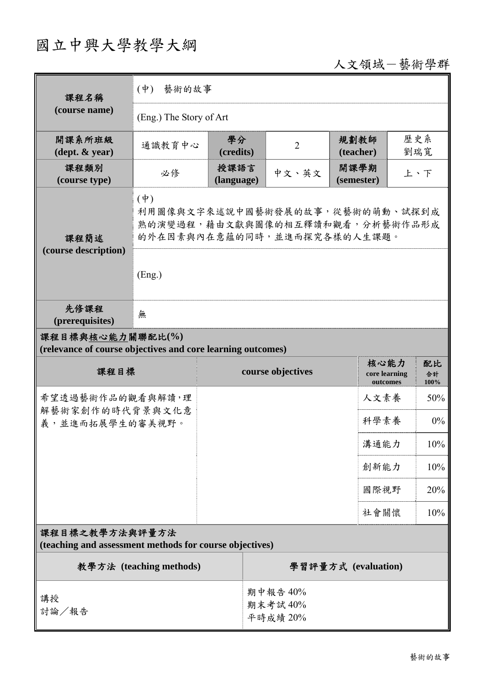## 國立中興大學教學大綱

## 人文領域-藝術學群

| 課程名稱                                                                            | 藝術的故事<br>$(\phi)$                                                                                             |                    |                                 |                |                                   |            |                  |  |
|---------------------------------------------------------------------------------|---------------------------------------------------------------------------------------------------------------|--------------------|---------------------------------|----------------|-----------------------------------|------------|------------------|--|
| (course name)                                                                   | (Eng.) The Story of Art                                                                                       |                    |                                 |                |                                   |            |                  |  |
| 開課系所班級<br>$(\text{dept.} \& \text{ year})$                                      | 通識教育中心                                                                                                        | 學分<br>(credits)    |                                 | $\overline{2}$ | 規劃教師<br>(teacher)                 | 歷史系<br>劉瑞寬 |                  |  |
| 課程類別<br>(course type)                                                           | 必修                                                                                                            | 授課語言<br>(language) |                                 | 中文、英文          | 開課學期<br>(semester)                |            | 上、下              |  |
| 課程簡述<br>(course description)                                                    | $(\phi)$<br>利用圖像與文字來述說中國藝術發展的故事,從藝術的萌動、試探到成<br>熟的演變過程,藉由文獻與圖像的相互釋讀和觀看,分析藝術作品形成<br>的外在因素與內在意蘊的同時,並進而探究各樣的人生課題。 |                    |                                 |                |                                   |            |                  |  |
|                                                                                 | (Eng.)                                                                                                        |                    |                                 |                |                                   |            |                  |  |
| 先修課程<br>(prerequisites)                                                         | 無                                                                                                             |                    |                                 |                |                                   |            |                  |  |
| 課程目標與核心能力關聯配比(%)<br>(relevance of course objectives and core learning outcomes) |                                                                                                               |                    |                                 |                |                                   |            |                  |  |
| 課程目標                                                                            |                                                                                                               | course objectives  |                                 |                | 核心能力<br>core learning<br>outcomes |            | 配比<br>合計<br>100% |  |
| 希望透過藝術作品的觀看與解讀,理<br>解藝術家創作的時代背景與文化意<br>義,並進而拓展學生的審美視野。                          |                                                                                                               |                    |                                 |                | 人文素養                              |            | 50%              |  |
|                                                                                 |                                                                                                               |                    |                                 |                | 科學素養                              |            | 0%               |  |
|                                                                                 |                                                                                                               |                    |                                 |                | 溝通能力                              |            | $10\%$           |  |
|                                                                                 |                                                                                                               |                    |                                 |                | 創新能力                              |            | 10%              |  |
|                                                                                 |                                                                                                               |                    |                                 |                |                                   | 國際視野       | 20%              |  |
|                                                                                 |                                                                                                               |                    |                                 |                |                                   | 社會關懷       | 10%              |  |
| 課程目標之教學方法與評量方法<br>(teaching and assessment methods for course objectives)       |                                                                                                               |                    |                                 |                |                                   |            |                  |  |
| 教學方法 (teaching methods)                                                         |                                                                                                               |                    | 學習評量方式 (evaluation)             |                |                                   |            |                  |  |
| 講授<br>討論/報告                                                                     |                                                                                                               |                    | 期中報告 40%<br>期末考試40%<br>平時成績 20% |                |                                   |            |                  |  |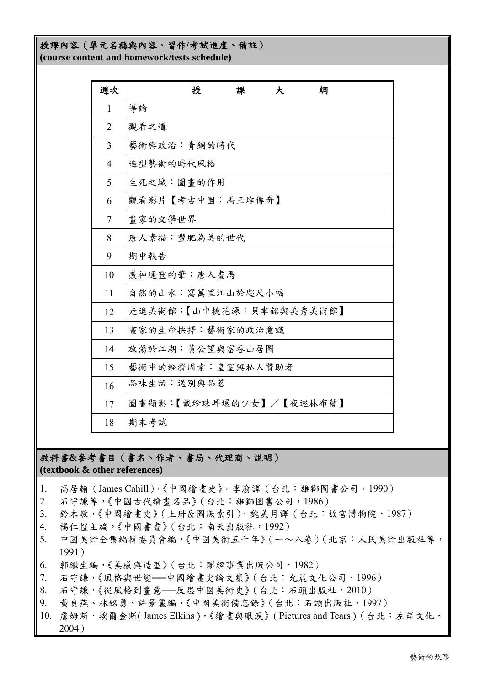## 授課內容(單元名稱與內容、習作**/**考試進度、備註) **(course content and homework/tests schedule)**

| 週次             | 授<br>綱<br>課<br>大        |
|----------------|-------------------------|
| 1              | 導論                      |
| $\overline{2}$ | 觀看之道                    |
| 3              | 藝術與政治:青銅的時代             |
| $\overline{4}$ | 造型藝術的時代風格               |
| 5              | 生死之域:圖畫的作用              |
| 6              | 觀看影片【考古中國:馬王堆傳奇】        |
| 7              | 畫家的文學世界                 |
| 8              | 唐人素描:豐肥為美的世代            |
| 9              | 期中報告                    |
| 10             | 感神通靈的筆:唐人畫馬             |
| 11             | 自然的山水:寫萬里江山於咫尺小幅        |
| 12             | 走進美術館:【山中桃花源:貝聿銘與美秀美術館】 |
| 13             | 畫家的生命抉擇:藝術家的政治意識        |
| 14             | 放蕩於江湖:黃公望與富春山居圖         |
| 15             | 藝術中的經濟因素:皇室與私人贊助者       |
| 16             | 品味生活:送別與品茗              |
| 17             | 圖畫顯影:【戴珍珠耳環的少女】/【夜巡林布蘭】 |
| 18             | 期末考試                    |

教科書**&**參考書目(書名、作者、書局、代理商、說明) **(textbook & other references)**

- 1. 高居翰(James Cahill),《中國繪畫史》,李渝譯(台北:雄獅圖書公司,1990)
- 2. 石守謙等,《中國古代繪畫名品》(台北:雄獅圖書公司,1986)
- 3. 鈴木敬,《中國繪畫史》(上卌&圖版索引),魏美月譯(台北:故宮博物院,1987)
- 4. 楊仁愷主編,《中國書畫》(台北:南天出版社,1992)
- 5. 中國美術全集編輯委員會編,《中國美術五千年》(一~八卷)(北京:人民美術出版社等, 1991)
- 6. 郭繼生編,《美感與造型》(台北:聯經事業出版公司,1982)
- 7. 石守謙,《風格與世變──中國繪畫史論文集》(台北:允晨文化公司,1996)
- 8. 石守謙,《從風格到畫意──反思中國美術史》(台北:石頭出版社,2010)
- 9. 黃貞燕、林銘勇、許景麗編,《中國美術備忘錄》(台北:石頭出版社,1997)
- 10. 詹姆斯·埃爾金斯(James Elkins),《繪書與眼淚》(Pictures and Tears) (台北:左岸文化, 2004)